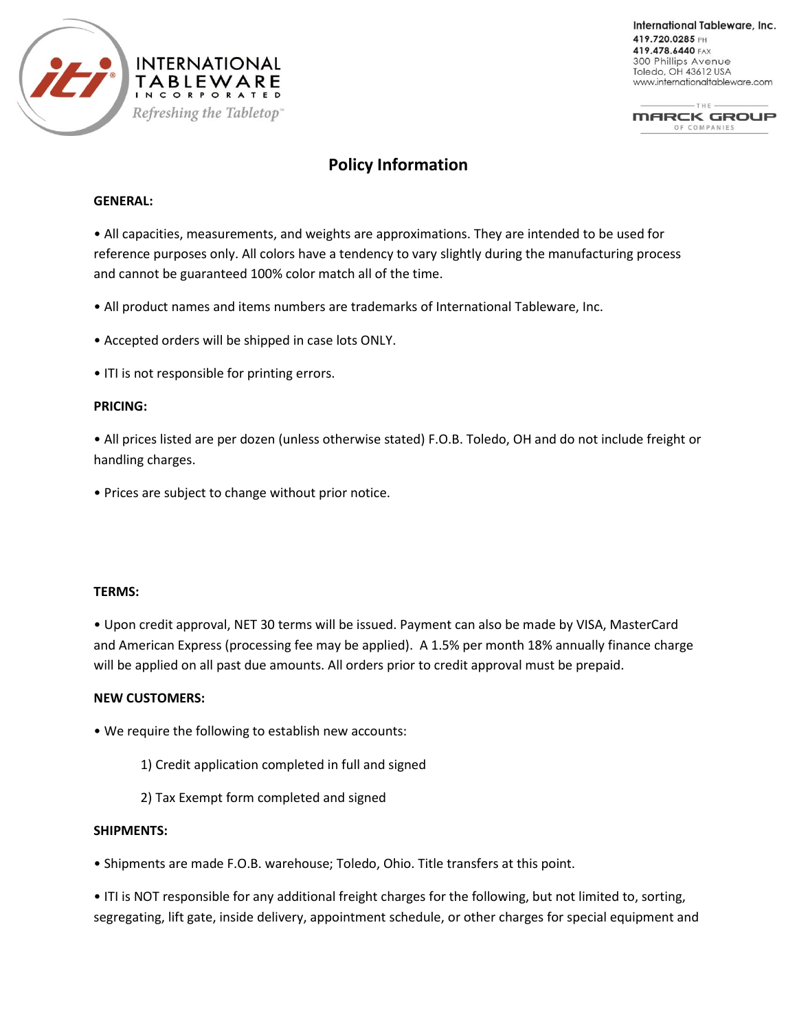

International Tableware, Inc. 419.720.0285 PH 419.478.6440 FAX 300 Phillips Avenue Toledo, OH 43612 USA www.internationaltableware.com

THE-**MARCK GROUP** OF COMPANIES

# **Policy Information**

## **GENERAL:**

• All capacities, measurements, and weights are approximations. They are intended to be used for reference purposes only. All colors have a tendency to vary slightly during the manufacturing process and cannot be guaranteed 100% color match all of the time.

- All product names and items numbers are trademarks of International Tableware, Inc.
- Accepted orders will be shipped in case lots ONLY.
- ITI is not responsible for printing errors.

## **PRICING:**

• All prices listed are per dozen (unless otherwise stated) F.O.B. Toledo, OH and do not include freight or handling charges.

• Prices are subject to change without prior notice.

#### **TERMS:**

• Upon credit approval, NET 30 terms will be issued. Payment can also be made by VISA, MasterCard and American Express (processing fee may be applied). A 1.5% per month 18% annually finance charge will be applied on all past due amounts. All orders prior to credit approval must be prepaid.

#### **NEW CUSTOMERS:**

• We require the following to establish new accounts:

- 1) Credit application completed in full and signed
- 2) Tax Exempt form completed and signed

## **SHIPMENTS:**

• Shipments are made F.O.B. warehouse; Toledo, Ohio. Title transfers at this point.

• ITI is NOT responsible for any additional freight charges for the following, but not limited to, sorting, segregating, lift gate, inside delivery, appointment schedule, or other charges for special equipment and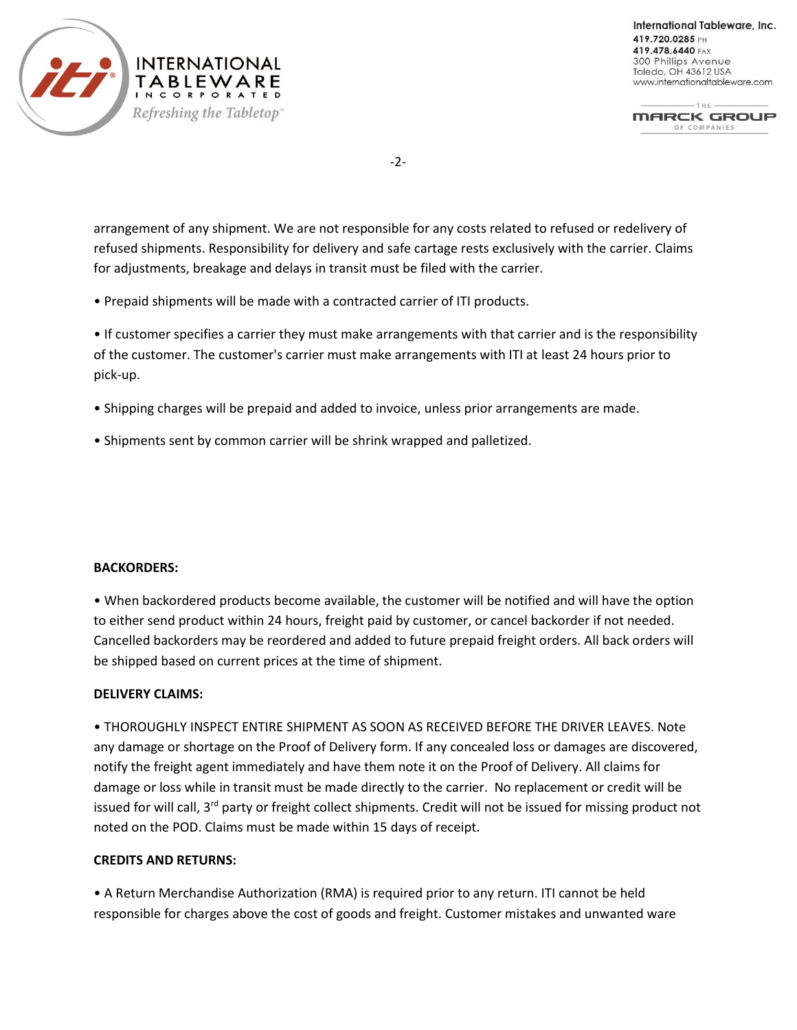

International Tableware, Inc. 419.720.0285 PH 419.478.6440 FAX 300 Phillips Avenue Toledo, OH 43612 USA www.internationaltableware.com

 $THE -$ **MARCK GROUP** OF COMPANIES

-2-

arrangement of any shipment. We are not responsible for any costs related to refused or redelivery of refused shipments. Responsibility for delivery and safe cartage rests exclusively with the carrier. Claims for adjustments, breakage and delays in transit must be filed with the carrier.

• Prepaid shipments will be made with a contracted carrier of ITI products.

• If customer specifies a carrier they must make arrangements with that carrier and is the responsibility of the customer. The customer's carrier must make arrangements with ITI at least 24 hours prior to pick-up.

- Shipping charges will be prepaid and added to invoice, unless prior arrangements are made.
- Shipments sent by common carrier will be shrink wrapped and palletized.

## **BACKORDERS:**

• When backordered products become available, the customer will be notified and will have the option to either send product within 24 hours, freight paid by customer, or cancel backorder if not needed. Cancelled backorders may be reordered and added to future prepaid freight orders. All back orders will be shipped based on current prices at the time of shipment.

## **DELIVERY CLAIMS:**

• THOROUGHLY INSPECT ENTIRE SHIPMENT AS SOON AS RECEIVED BEFORE THE DRIVER LEAVES. Note any damage or shortage on the Proof of Delivery form. If any concealed loss or damages are discovered, notify the freight agent immediately and have them note it on the Proof of Delivery. All claims for damage or loss while in transit must be made directly to the carrier. No replacement or credit will be issued for will call, 3<sup>rd</sup> party or freight collect shipments. Credit will not be issued for missing product not noted on the POD. Claims must be made within 15 days of receipt.

#### **CREDITS AND RETURNS:**

• A Return Merchandise Authorization (RMA) is required prior to any return. ITI cannot be held responsible for charges above the cost of goods and freight. Customer mistakes and unwanted ware